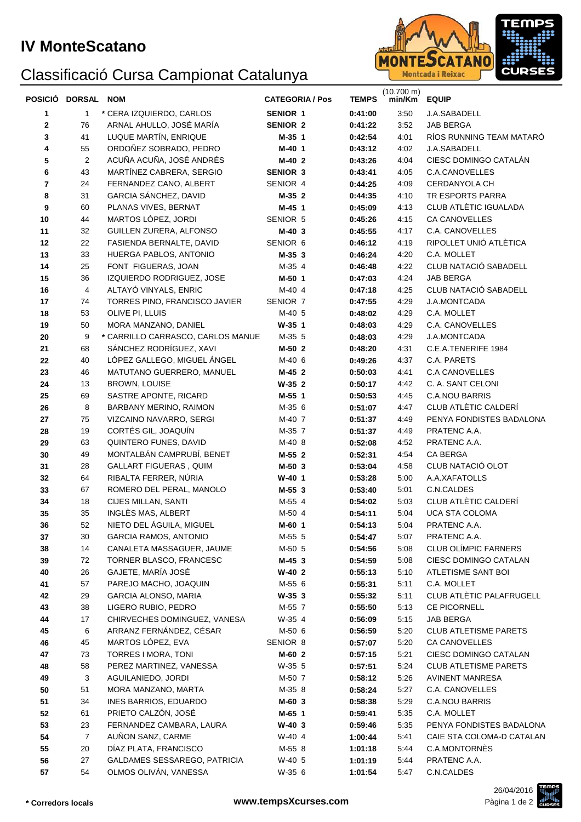## **IV MonteScatano**

## Classificació Cursa Campionat Catalunya



|    | POSICIÓ DORSAL NOM |                                   | <b>CATEGORIA / Pos</b> | <b>TEMPS</b> | $(10.700 \text{ m})$<br>min/Km | <b>EQUIP</b>                 |
|----|--------------------|-----------------------------------|------------------------|--------------|--------------------------------|------------------------------|
| 1  | 1                  | * CERA IZQUIERDO, CARLOS          | <b>SENIOR 1</b>        | 0:41:00      | 3:50                           | <b>J.A.SABADELL</b>          |
| 2  | 76                 | ARNAL AHULLO, JOSÉ MARÍA          | <b>SENIOR 2</b>        | 0:41:22      | 3:52                           | <b>JAB BERGA</b>             |
| 3  | 41                 | LUQUE MARTÍN, ENRIQUE             | M-35 1                 | 0:42:54      | 4:01                           | RÍOS RUNNING TEAM MATARÓ     |
| 4  | 55                 | ORDOÑEZ SOBRADO, PEDRO            | M-40 1                 | 0:43:12      | 4:02                           | J.A.SABADELL                 |
| 5  | 2                  | ACUÑA ACUÑA, JOSÉ ANDRÉS          | M-40 2                 | 0:43:26      | 4:04                           | CIESC DOMINGO CATALÁN        |
| 6  | 43                 | MARTÍNEZ CABRERA, SERGIO          | <b>SENIOR 3</b>        | 0:43:41      | 4:05                           | C.A.CANOVELLES               |
| 7  | 24                 | FERNANDEZ CANO, ALBERT            | SENIOR 4               | 0:44:25      | 4:09                           | CERDANYOLA CH                |
| 8  | 31                 | GARCIA SÁNCHEZ, DAVID             | M-35 2                 | 0:44:35      | 4:10                           | TR ESPORTS PARRA             |
| 9  | 60                 | PLANAS VIVES, BERNAT              | M-45 1                 | 0:45:09      | 4:13                           | CLUB ATLÈTIC IGUALADA        |
| 10 | 44                 | MARTOS LÓPEZ, JORDI               | SENIOR 5               | 0:45:26      | 4:15                           | <b>CA CANOVELLES</b>         |
| 11 | 32                 | GUILLEN ZURERA, ALFONSO           | M-40 3                 | 0:45:55      | 4:17                           | C.A. CANOVELLES              |
| 12 | 22                 | FASIENDA BERNALTE, DAVID          | SENIOR 6               | 0:46:12      | 4:19                           | RIPOLLET UNIÓ ATLÈTICA       |
| 13 | 33                 | HUERGA PABLOS, ANTONIO            | M-35 3                 | 0:46:24      | 4:20                           | C.A. MOLLET                  |
| 14 | 25                 | FONT FIGUERAS, JOAN               | M-35 4                 | 0:46:48      | 4:22                           | CLUB NATACIÓ SABADELL        |
| 15 | 36                 | IZQUIERDO RODRIGUEZ, JOSE         | M-50 1                 | 0:47:03      | 4.24                           | <b>JAB BERGA</b>             |
| 16 | 4                  | ALTAYÓ VINYALS, ENRIC             | M-40 4                 | 0:47:18      | 4:25                           | CLUB NATACIÓ SABADELL        |
| 17 | 74                 | TORRES PINO, FRANCISCO JAVIER     | SENIOR 7               | 0:47:55      | 4:29                           | J.A.MONTCADA                 |
| 18 | 53                 | OLIVE PI, LLUIS                   | M-40 5                 | 0:48:02      | 4:29                           | C.A. MOLLET                  |
| 19 | 50                 | MORA MANZANO, DANIEL              | $W-35$ 1               | 0:48:03      | 4:29                           | C.A. CANOVELLES              |
| 20 | 9                  | * CARRILLO CARRASCO, CARLOS MANUE | M-35 5                 | 0:48:03      | 4:29                           | J.A.MONTCADA                 |
| 21 | 68                 | SÁNCHEZ RODRÍGUEZ, XAVI           | M-50 2                 | 0:48:20      | 4:31                           | C.E.A.TENERIFE 1984          |
| 22 | 40                 | LÓPEZ GALLEGO, MIGUEL ÁNGEL       | M-40 6                 | 0:49:26      | 4:37                           | C.A. PARETS                  |
| 23 | 46                 | MATUTANO GUERRERO, MANUEL         | M-45 2                 | 0:50:03      | 4:41                           | <b>C.A CANOVELLES</b>        |
| 24 | 13                 | <b>BROWN, LOUISE</b>              | $W-35$ 2               | 0:50:17      | 4.42                           | C. A. SANT CELONI            |
| 25 | 69                 | SASTRE APONTE, RICARD             | M-55 1                 | 0:50:53      | 4:45                           | <b>C.A.NOU BARRIS</b>        |
| 26 | 8                  | BARBANY MERINO, RAIMON            | M-35 6                 | 0:51:07      | 4.47                           | CLUB ATLÈTIC CALDERÍ         |
| 27 | 75                 | VIZCAINO NAVARRO, SERGI           | M-40 7                 | 0:51:37      | 4:49                           | PENYA FONDISTES BADALONA     |
| 28 | 19                 | CORTÉS GIL, JOAQUÍN               | M-35 7                 | 0:51:37      | 4:49                           | PRATENC A.A.                 |
| 29 | 63                 | QUINTERO FUNES, DAVID             | M-40 8                 | 0:52:08      | 4:52                           | PRATENC A.A.                 |
| 30 | 49                 | MONTALBÁN CAMPRUBÍ, BENET         | M-55 2                 | 0:52:31      | 4.54                           | <b>CA BERGA</b>              |
| 31 | 28                 | GALLART FIGUERAS, QUIM            | M-50 3                 | 0:53:04      | 4:58                           | CLUB NATACIÓ OLOT            |
| 32 | 64                 | RIBALTA FERRER, NÚRIA             | $W-40$ 1               | 0:53:28      | 5:00                           | A.A.XAFATOLLS                |
| 33 | 67                 | ROMERO DEL PERAL, MANOLO          | M-55 3                 | 0:53:40      | 5:01                           | C.N.CALDES                   |
| 34 | 18                 | CIJES MILLAN, SANTI               | M-55 4                 | 0:54:02      | 5:03                           | CLUB ATLÈTIC CALDERÍ         |
| 35 | 35                 | INGLÈS MAS, ALBERT                | M-50 4                 | 0:54:11      | 5:04                           | <b>UCA STA COLOMA</b>        |
| 36 | 52                 | NIETO DEL ÁGUILA, MIGUEL          | M-60 1                 | 0:54:13      | 5:04                           | PRATENC A.A.                 |
| 37 | 30                 | <b>GARCIA RAMOS, ANTONIO</b>      | M-55 5                 | 0:54:47      | 5:07                           | PRATENC A.A.                 |
| 38 | 14                 | CANALETA MASSAGUER, JAUME         | M-50 5                 | 0:54:56      | 5:08                           | CLUB OLÍMPIC FARNERS         |
| 39 | 72                 | TORNER BLASCO, FRANCESC           | $M-45$ 3               | 0:54:59      | 5:08                           | CIESC DOMINGO CATALAN        |
| 40 | 26                 | GAJETE, MARÍA JOSÉ                | $W-40$ 2               | 0:55:13      | 5:10                           | ATLETISME SANT BOI           |
| 41 | 57                 | PAREJO MACHO, JOAQUIN             | M-55 6                 | 0:55:31      | 5:11                           | C.A. MOLLET                  |
| 42 | 29                 | GARCIA ALONSO, MARIA              | $W-35$ 3               | 0:55:32      | 5:11                           | CLUB ATLÈTIC PALAFRUGELL     |
| 43 | 38                 | LIGERO RUBIO, PEDRO               | M-55 7                 | 0:55:50      | 5:13                           | CE PICORNELL                 |
| 44 | 17                 | CHIRVECHES DOMINGUEZ, VANESA      | W-35 4                 | 0:56:09      | 5:15                           | <b>JAB BERGA</b>             |
| 45 | 6                  | ARRANZ FERNÁNDEZ, CÉSAR           | M-50 6                 | 0:56:59      | 5:20                           | <b>CLUB ATLETISME PARETS</b> |
| 46 | 45                 | MARTOS LÓPEZ, EVA                 | SENIOR 8               | 0:57:07      | 5:20                           | <b>CA CANOVELLES</b>         |
| 47 | 73                 | TORRES I MORA, TONI               | M-60 2                 | 0:57:15      | 5:21                           | CIESC DOMINGO CATALAN        |
| 48 | 58                 | PEREZ MARTINEZ, VANESSA           | W-35 5                 | 0:57:51      | 5:24                           | <b>CLUB ATLETISME PARETS</b> |
| 49 | 3                  | AGUILANIEDO, JORDI                | M-50 7                 | 0:58:12      | 5:26                           | <b>AVINENT MANRESA</b>       |
| 50 | 51                 | MORA MANZANO, MARTA               | M-35 8                 | 0:58:24      | 5:27                           | C.A. CANOVELLES              |
| 51 | 34                 | INES BARRIOS, EDUARDO             | M-60 3                 | 0:58:38      | 5:29                           | <b>C.A.NOU BARRIS</b>        |
| 52 | 61                 | PRIETO CALZÓN, JOSÉ               | M-65 1                 | 0:59:41      | 5:35                           | C.A. MOLLET                  |
| 53 | 23                 | FERNANDEZ CAMBARA, LAURA          | $W-40$ 3               | 0:59:46      | 5:35                           | PENYA FONDISTES BADALONA     |
| 54 | 7                  | AUÑON SANZ, CARME                 | W-40 4                 | 1:00:44      | 5:41                           | CAIE STA COLOMA-D CATALAN    |
| 55 | 20                 | DÍAZ PLATA, FRANCISCO             | M-55 8                 | 1:01:18      | 5:44                           | C.A.MONTORNÈS                |
| 56 | 27                 | GALDAMES SESSAREGO, PATRICIA      | W-40 5                 | 1:01:19      | 5:44                           | PRATENC A.A.                 |
| 57 | 54                 | OLMOS OLIVÁN, VANESSA             | W-35 6                 | 1:01:54      | 5:47                           | C.N.CALDES                   |